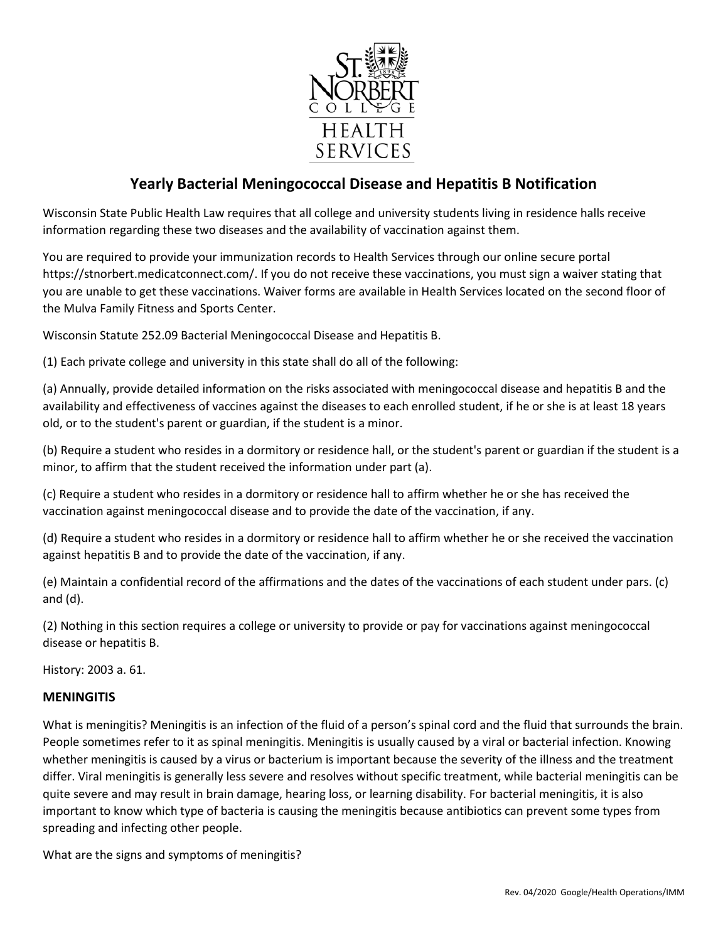

# **Yearly Bacterial Meningococcal Disease and Hepatitis B Notification**

Wisconsin State Public Health Law requires that all college and university students living in residence halls receive information regarding these two diseases and the availability of vaccination against them.

You are required to provide your immunization records to Health Services through our online secure portal https://stnorbert.medicatconnect.com/. If you do not receive these vaccinations, you must sign a waiver stating that you are unable to get these vaccinations. Waiver forms are available in Health Services located on the second floor of the Mulva Family Fitness and Sports Center.

Wisconsin Statute 252.09 Bacterial Meningococcal Disease and Hepatitis B.

(1) Each private college and university in this state shall do all of the following:

(a) Annually, provide detailed information on the risks associated with meningococcal disease and hepatitis B and the availability and effectiveness of vaccines against the diseases to each enrolled student, if he or she is at least 18 years old, or to the student's parent or guardian, if the student is a minor.

(b) Require a student who resides in a dormitory or residence hall, or the student's parent or guardian if the student is a minor, to affirm that the student received the information under part (a).

(c) Require a student who resides in a dormitory or residence hall to affirm whether he or she has received the vaccination against meningococcal disease and to provide the date of the vaccination, if any.

(d) Require a student who resides in a dormitory or residence hall to affirm whether he or she received the vaccination against hepatitis B and to provide the date of the vaccination, if any.

(e) Maintain a confidential record of the affirmations and the dates of the vaccinations of each student under pars. (c) and (d).

(2) Nothing in this section requires a college or university to provide or pay for vaccinations against meningococcal disease or hepatitis B.

History: 2003 a. 61.

### **MENINGITIS**

What is meningitis? Meningitis is an infection of the fluid of a person's spinal cord and the fluid that surrounds the brain. People sometimes refer to it as spinal meningitis. Meningitis is usually caused by a viral or bacterial infection. Knowing whether meningitis is caused by a virus or bacterium is important because the severity of the illness and the treatment differ. Viral meningitis is generally less severe and resolves without specific treatment, while bacterial meningitis can be quite severe and may result in brain damage, hearing loss, or learning disability. For bacterial meningitis, it is also important to know which type of bacteria is causing the meningitis because antibiotics can prevent some types from spreading and infecting other people.

What are the signs and symptoms of meningitis?